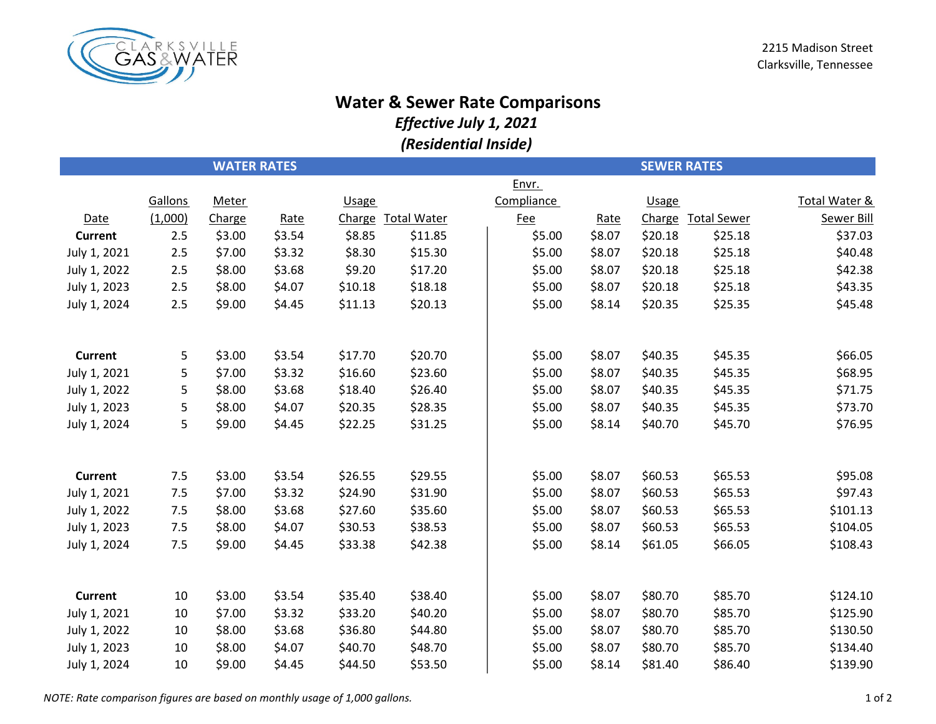

## **Water & Sewer Rate Comparisons** *Effective July 1, 2021*

*(Residential Inside)*

| <b>WATER RATES</b>           |          |                  |                  |                    |                    | <b>SEWER RATES</b> |        |                    |                    |               |  |
|------------------------------|----------|------------------|------------------|--------------------|--------------------|--------------------|--------|--------------------|--------------------|---------------|--|
|                              |          |                  |                  |                    |                    | Envr.              |        |                    |                    |               |  |
|                              | Gallons  | <b>Meter</b>     |                  | <b>Usage</b>       |                    | Compliance         |        | <b>Usage</b>       |                    | Total Water & |  |
| Date                         | (1,000)  | Charge           | Rate             | Charge             | Total Water        | <b>Fee</b>         | Rate   | Charge             | Total Sewer        | Sewer Bill    |  |
| <b>Current</b>               | 2.5      | \$3.00           | \$3.54           | \$8.85             | \$11.85            | \$5.00             | \$8.07 | \$20.18            | \$25.18            | \$37.03       |  |
| July 1, 2021                 | 2.5      | \$7.00           | \$3.32           | \$8.30             | \$15.30            | \$5.00             | \$8.07 | \$20.18            | \$25.18            | \$40.48       |  |
| July 1, 2022                 | 2.5      | \$8.00           | \$3.68           | \$9.20             | \$17.20            | \$5.00             | \$8.07 | \$20.18            | \$25.18            | \$42.38       |  |
| July 1, 2023                 | 2.5      | \$8.00           | \$4.07           | \$10.18            | \$18.18            | \$5.00             | \$8.07 | \$20.18            | \$25.18            | \$43.35       |  |
| July 1, 2024                 | 2.5      | \$9.00           | \$4.45           | \$11.13            | \$20.13            | \$5.00             | \$8.14 | \$20.35            | \$25.35            | \$45.48       |  |
|                              |          |                  |                  |                    |                    |                    |        |                    |                    |               |  |
| <b>Current</b>               | 5        | \$3.00           | \$3.54           | \$17.70            | \$20.70            | \$5.00             | \$8.07 | \$40.35            | \$45.35            | \$66.05       |  |
| July 1, 2021                 | 5        | \$7.00           | \$3.32           | \$16.60            | \$23.60            | \$5.00             | \$8.07 | \$40.35            | \$45.35            | \$68.95       |  |
| July 1, 2022                 | 5        | \$8.00           | \$3.68           | \$18.40            | \$26.40            | \$5.00             | \$8.07 | \$40.35            | \$45.35            | \$71.75       |  |
| July 1, 2023                 | 5        | \$8.00           | \$4.07           | \$20.35            | \$28.35            | \$5.00             | \$8.07 | \$40.35            | \$45.35            | \$73.70       |  |
| July 1, 2024                 | 5        | \$9.00           | \$4.45           | \$22.25            | \$31.25            | \$5.00             | \$8.14 | \$40.70            | \$45.70            | \$76.95       |  |
| <b>Current</b>               | 7.5      | \$3.00           | \$3.54           | \$26.55            | \$29.55            | \$5.00             | \$8.07 | \$60.53            | \$65.53            | \$95.08       |  |
| July 1, 2021                 | 7.5      | \$7.00           | \$3.32           | \$24.90            | \$31.90            | \$5.00             | \$8.07 | \$60.53            | \$65.53            | \$97.43       |  |
| July 1, 2022                 | 7.5      | \$8.00           | \$3.68           | \$27.60            | \$35.60            | \$5.00             | \$8.07 | \$60.53            | \$65.53            | \$101.13      |  |
| July 1, 2023                 | 7.5      | \$8.00           | \$4.07           | \$30.53            | \$38.53            | \$5.00             | \$8.07 | \$60.53            | \$65.53            | \$104.05      |  |
| July 1, 2024                 | 7.5      | \$9.00           | \$4.45           | \$33.38            | \$42.38            | \$5.00             | \$8.14 | \$61.05            | \$66.05            | \$108.43      |  |
| <b>Current</b>               | 10       | \$3.00           | \$3.54           | \$35.40            | \$38.40            | \$5.00             | \$8.07 | \$80.70            | \$85.70            | \$124.10      |  |
|                              |          |                  |                  |                    |                    | \$5.00             | \$8.07 |                    |                    | \$125.90      |  |
| July 1, 2021<br>July 1, 2022 | 10<br>10 | \$7.00<br>\$8.00 | \$3.32<br>\$3.68 | \$33.20<br>\$36.80 | \$40.20<br>\$44.80 | \$5.00             | \$8.07 | \$80.70<br>\$80.70 | \$85.70<br>\$85.70 | \$130.50      |  |
|                              | $10\,$   | \$8.00           | \$4.07           | \$40.70            | \$48.70            | \$5.00             | \$8.07 | \$80.70            |                    | \$134.40      |  |
| July 1, 2023                 |          |                  |                  |                    |                    |                    | \$8.14 |                    | \$85.70            |               |  |
| July 1, 2024                 | 10       | \$9.00           | \$4.45           | \$44.50            | \$53.50            | \$5.00             |        | \$81.40            | \$86.40            | \$139.90      |  |

*NOTE: Rate comparison figures are based on monthly usage of 1,000 gallons.* 1 of 2